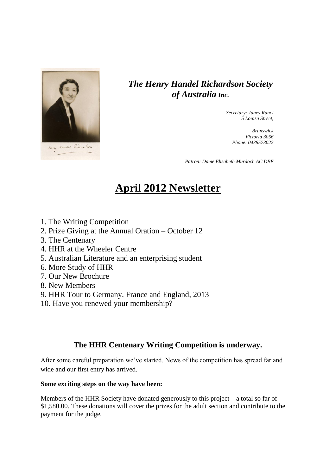

## *The Henry Handel Richardson Society of Australia Inc.*

*Secretary: Janey Runci 5 Louisa Street,* 

> *Brunswick Victoria 3056 Phone: 0438573022*

*Patron: Dame Elisabeth Murdoch AC DBE*

# **April 2012 Newsletter**

- 1. The Writing Competition
- 2. Prize Giving at the Annual Oration October 12
- 3. The Centenary
- 4. HHR at the Wheeler Centre
- 5. Australian Literature and an enterprising student
- 6. More Study of HHR
- 7. Our New Brochure
- 8. New Members
- 9. HHR Tour to Germany, France and England, 2013
- 10. Have you renewed your membership?

## **The HHR Centenary Writing Competition is underway.**

After some careful preparation we've started. News of the competition has spread far and wide and our first entry has arrived.

#### **Some exciting steps on the way have been:**

Members of the HHR Society have donated generously to this project – a total so far of \$1,580.00. These donations will cover the prizes for the adult section and contribute to the payment for the judge.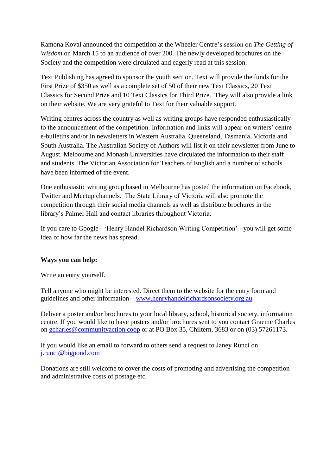Ramona Koval announced the competition at the Wheeler Centre's session on *The Getting of Wisdom* on March 15 to an audience of over 200. The newly developed brochures on the Society and the competition were circulated and eagerly read at this session.

Text Publishing has agreed to sponsor the youth section. Text will provide the funds for the First Prize of \$350 as well as a complete set of 50 of their new Text Classics, 20 Text Classics for Second Prize and 10 Text Classics for Third Prize. They will also provide a link on their website. We are very grateful to Text for their valuable support.

Writing centres across the country as well as writing groups have responded enthusiastically to the announcement of the competition. Information and links will appear on writers' centre e-bulletins and/or in newsletters in Western Australia, Queensland, Tasmania, Victoria and South Australia. The Australian Society of Authors will list it on their newsletter from June to August. Melbourne and Monash Universities have circulated the information to their staff and students. The Victorian Association for Teachers of English and a number of schools have been informed of the event.

One enthusiastic writing group based in Melbourne has posted the information on Facebook, Twitter and Meetup channels. The State Library of Victoria will also promote the competition through their social media channels as well as distribute brochures in the library's Palmer Hall and contact libraries throughout Victoria.

If you care to Google - 'Henry Handel Richardson Writing Competition' - you will get some idea of how far the news has spread.

#### **Ways you can help:**

Write an entry yourself.

Tell anyone who might be interested. Direct them to the website for the entry form and guidelines and other information – [www.henryhandelrichardsonsociety.org.au](http://www.henryhandelrichardsonsociety.org.au/)

Deliver a poster and/or brochures to your local library, school, historical society, information centre. If you would like to have posters and/or brochures sent to you contact Graeme Charles on [gcharles@communityaction.coop](mailto:gcharles@communityaction.coop) or at PO Box 35, Chiltern, 3683 or on (03) 57261173.

If you would like an email to forward to others send a request to Janey Runci on [j.runci@bigpond.com](mailto:j.runci@bigpond.com)

Donations are still welcome to cover the costs of promoting and advertising the competition and administrative costs of postage etc.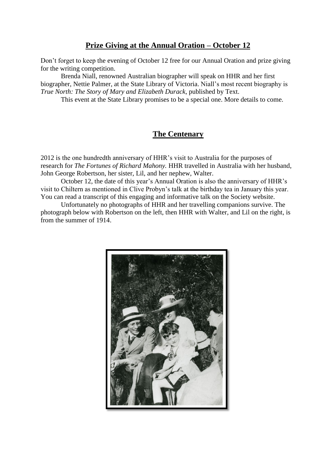## **Prize Giving at the Annual Oration – October 12**

Don't forget to keep the evening of October 12 free for our Annual Oration and prize giving for the writing competition.

Brenda Niall, renowned Australian biographer will speak on HHR and her first biographer, Nettie Palmer, at the State Library of Victoria. Niall's most recent biography is *True North: The Story of Mary and Elizabeth Durack*, published by Text.

This event at the State Library promises to be a special one. More details to come.

## **The Centenary**

2012 is the one hundredth anniversary of HHR's visit to Australia for the purposes of research for *The Fortunes of Richard Mahony.* HHR travelled in Australia with her husband, John George Robertson, her sister, Lil, and her nephew, Walter.

October 12, the date of this year's Annual Oration is also the anniversary of HHR's visit to Chiltern as mentioned in Clive Probyn's talk at the birthday tea in January this year. You can read a transcript of this engaging and informative talk on the Society website.

Unfortunately no photographs of HHR and her travelling companions survive. The photograph below with Robertson on the left, then HHR with Walter, and Lil on the right, is from the summer of 1914.

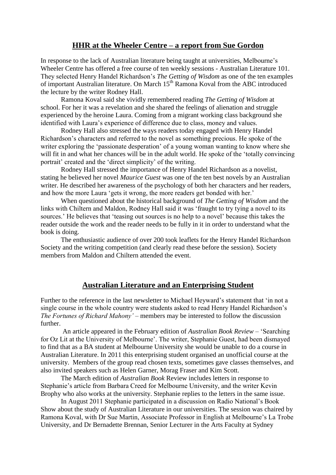#### **HHR at the Wheeler Centre – a report from Sue Gordon**

In response to the lack of Australian literature being taught at universities, Melbourne's Wheeler Centre has offered a free course of ten weekly sessions - Australian Literature 101. They selected Henry Handel Richardson's *The Getting of Wisdom* as one of the ten examples of important Australian literature. On March 15<sup>th</sup> Ramona Koval from the ABC introduced the lecture by the writer Rodney Hall.

Ramona Koval said she vividly remembered reading *The Getting of Wisdom* at school. For her it was a revelation and she shared the feelings of alienation and struggle experienced by the heroine Laura. Coming from a migrant working class background she identified with Laura's experience of difference due to class, money and values.

Rodney Hall also stressed the ways readers today engaged with Henry Handel Richardson's characters and referred to the novel as something precious. He spoke of the writer exploring the 'passionate desperation' of a young woman wanting to know where she will fit in and what her chances will be in the adult world. He spoke of the 'totally convincing portrait' created and the 'direct simplicity' of the writing.

Rodney Hall stressed the importance of Henry Handel Richardson as a novelist, stating he believed her novel *Maurice Guest* was one of the ten best novels by an Australian writer. He described her awareness of the psychology of both her characters and her readers, and how the more Laura 'gets it wrong, the more readers get bonded with her.'

When questioned about the historical background of *The Getting of Wisdom* and the links with Chiltern and Maldon, Rodney Hall said it was 'fraught to try tying a novel to its sources.' He believes that 'teasing out sources is no help to a novel' because this takes the reader outside the work and the reader needs to be fully in it in order to understand what the book is doing.

The enthusiastic audience of over 200 took leaflets for the Henry Handel Richardson Society and the writing competition (and clearly read these before the session). Society members from Maldon and Chiltern attended the event.

#### **Australian Literature and an Enterprising Student**

Further to the reference in the last newsletter to Michael Heyward's statement that 'in not a single course in the whole country were students asked to read Henry Handel Richardson's *The Fortunes of Richard Mahony'* – members may be interested to follow the discussion further.

An article appeared in the February edition of *Australian Book Review* – 'Searching for Oz Lit at the University of Melbourne'. The writer, Stephanie Guest, had been dismayed to find that as a BA student at Melbourne University she would be unable to do a course in Australian Literature. In 2011 this enterprising student organised an unofficial course at the university. Members of the group read chosen texts, sometimes gave classes themselves, and also invited speakers such as Helen Garner, Morag Fraser and Kim Scott.

The March edition of *Australian Book* Review includes letters in response to Stephanie's article from Barbara Creed for Melbourne University, and the writer Kevin Brophy who also works at the university. Stephanie replies to the letters in the same issue.

In August 2011 Stephanie participated in a discussion on Radio National's Book Show about the study of Australian Literature in our universities. The session was chaired by Ramona Koval, with Dr Sue Martin, Associate Professor in English at Melbourne's La Trobe University, and Dr Bernadette Brennan, Senior Lecturer in the Arts Faculty at Sydney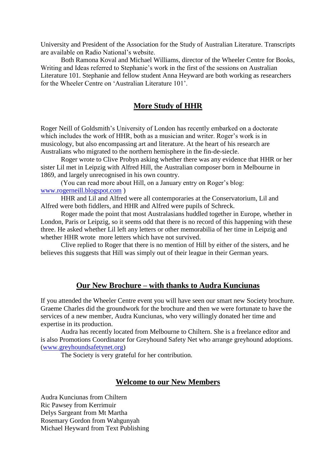University and President of the Association for the Study of Australian Literature. Transcripts are available on Radio National's website.

Both Ramona Koval and Michael Williams, director of the Wheeler Centre for Books, Writing and Ideas referred to Stephanie's work in the first of the sessions on Australian Literature 101. Stephanie and fellow student Anna Heyward are both working as researchers for the Wheeler Centre on 'Australian Literature 101'.

#### **More Study of HHR**

Roger Neill of Goldsmith's University of London has recently embarked on a doctorate which includes the work of HHR, both as a musician and writer. Roger's work is in musicology, but also encompassing art and literature. At the heart of his research are Australians who migrated to the northern hemisphere in the fin-de-siecle.

Roger wrote to Clive Probyn asking whether there was any evidence that HHR or her sister Lil met in Leipzig with Alfred Hill, the Australian composer born in Melbourne in 1869, and largely unrecognised in his own country.

(You can read more about Hill, on a January entry on Roger's blog: [www.rogerneill.blogspot.com](http://www.rogerneill.blogspot.com/) )

HHR and Lil and Alfred were all contemporaries at the Conservatorium, Lil and Alfred were both fiddlers, and HHR and Alfred were pupils of Schreck.

Roger made the point that most Australasians huddled together in Europe, whether in London, Paris or Leipzig, so it seems odd that there is no record of this happening with these three. He asked whether Lil left any letters or other memorabilia of her time in Leipzig and whether HHR wrote more letters which have not survived.

Clive replied to Roger that there is no mention of Hill by either of the sisters, and he believes this suggests that Hill was simply out of their league in their German years.

#### **Our New Brochure – with thanks to Audra Kunciunas**

If you attended the Wheeler Centre event you will have seen our smart new Society brochure. Graeme Charles did the groundwork for the brochure and then we were fortunate to have the services of a new member, Audra Kunciunas, who very willingly donated her time and expertise in its production.

Audra has recently located from Melbourne to Chiltern. She is a freelance editor and is also Promotions Coordinator for Greyhound Safety Net who arrange greyhound adoptions. [\(www.greyhoundsafetynet.org\)](http://www.greyhoundsafetynet.org/)

The Society is very grateful for her contribution.

#### **Welcome to our New Members**

Audra Kunciunas from Chiltern Ric Pawsey from Kerrimuir Delys Sargeant from Mt Martha Rosemary Gordon from Wahgunyah Michael Heyward from Text Publishing